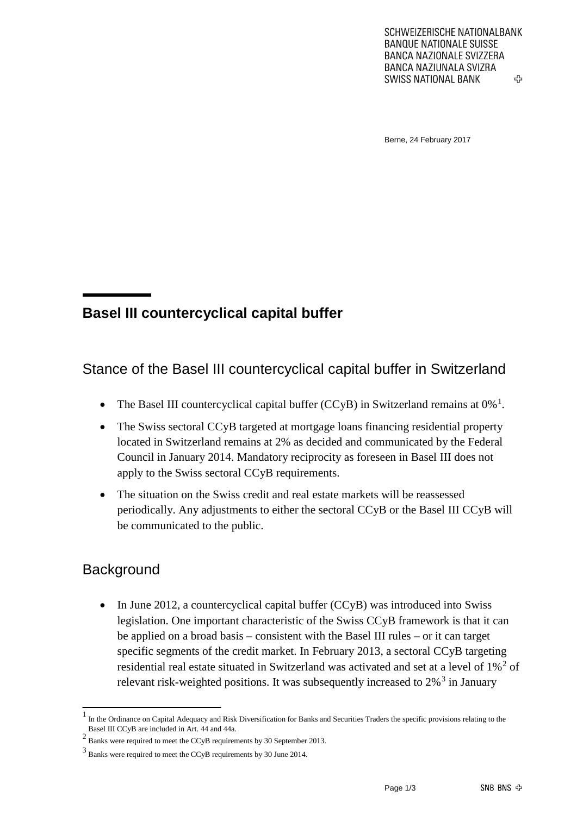Berne, 24 February 2017

## **Basel III countercyclical capital buffer**

Stance of the Basel III countercyclical capital buffer in Switzerland

- The Basel III countercyclical capital buffer (CCyB) in Switzerland remains at  $0\%$ <sup>[1](#page-0-0)</sup>.
- The Swiss sectoral CCyB targeted at mortgage loans financing residential property located in Switzerland remains at 2% as decided and communicated by the Federal Council in January 2014. Mandatory reciprocity as foreseen in Basel III does not apply to the Swiss sectoral CCyB requirements.
- The situation on the Swiss credit and real estate markets will be reassessed periodically. Any adjustments to either the sectoral CCyB or the Basel III CCyB will be communicated to the public.

## **Background**

• In June 2012, a countercyclical capital buffer (CCyB) was introduced into Swiss legislation. One important characteristic of the Swiss CCyB framework is that it can be applied on a broad basis – consistent with the Basel III rules – or it can target specific segments of the credit market. In February 2013, a sectoral CCyB targeting residential real estate situated in Switzerland was activated and set at a level of 1%<sup>[2](#page-0-1)</sup> of relevant risk-weighted positions. It was subsequently increased to  $2\%$ <sup>[3](#page-0-2)</sup> in January

<span id="page-0-0"></span><sup>1</sup> In the Ordinance on Capital Adequacy and Risk Diversification for Banks and Securities Traders the specific provisions relating to the Basel III CCyB are included in Art. 44 and 44a.

<span id="page-0-1"></span><sup>2</sup> Banks were required to meet the CCyB requirements by 30 September 2013.

<span id="page-0-2"></span><sup>3</sup> Banks were required to meet the CCyB requirements by 30 June 2014.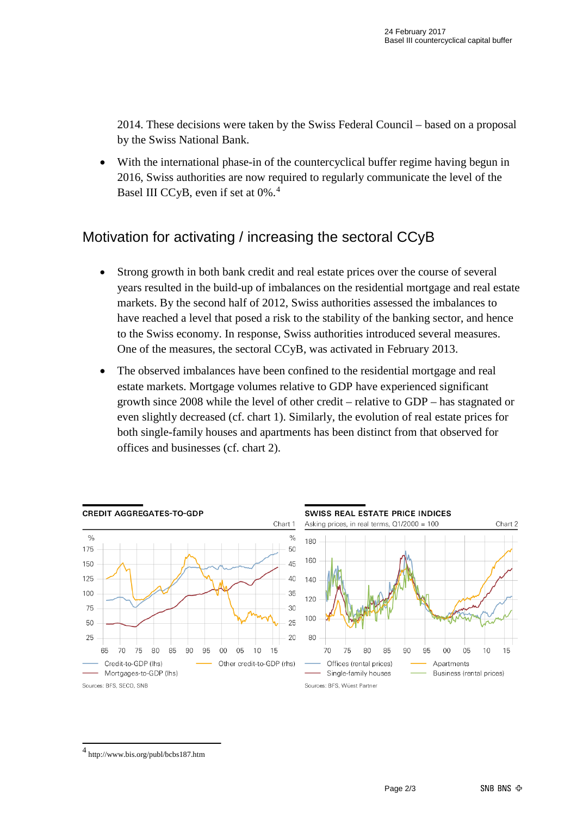2014. These decisions were taken by the Swiss Federal Council – based on a proposal by the Swiss National Bank.

• With the international phase-in of the countercyclical buffer regime having begun in 2016, Swiss authorities are now required to regularly communicate the level of the Basel III CCyB, even if set at 0%.[4](#page-1-0)

## Motivation for activating / increasing the sectoral CCyB

- Strong growth in both bank credit and real estate prices over the course of several years resulted in the build-up of imbalances on the residential mortgage and real estate markets. By the second half of 2012, Swiss authorities assessed the imbalances to have reached a level that posed a risk to the stability of the banking sector, and hence to the Swiss economy. In response, Swiss authorities introduced several measures. One of the measures, the sectoral CCyB, was activated in February 2013.
- The observed imbalances have been confined to the residential mortgage and real estate markets. Mortgage volumes relative to GDP have experienced significant growth since 2008 while the level of other credit – relative to GDP – has stagnated or even slightly decreased (cf. chart 1). Similarly, the evolution of real estate prices for both single-family houses and apartments has been distinct from that observed for offices and businesses (cf. chart 2).



<span id="page-1-0"></span><sup>4</sup> http://www.bis.org/publ/bcbs187.htm